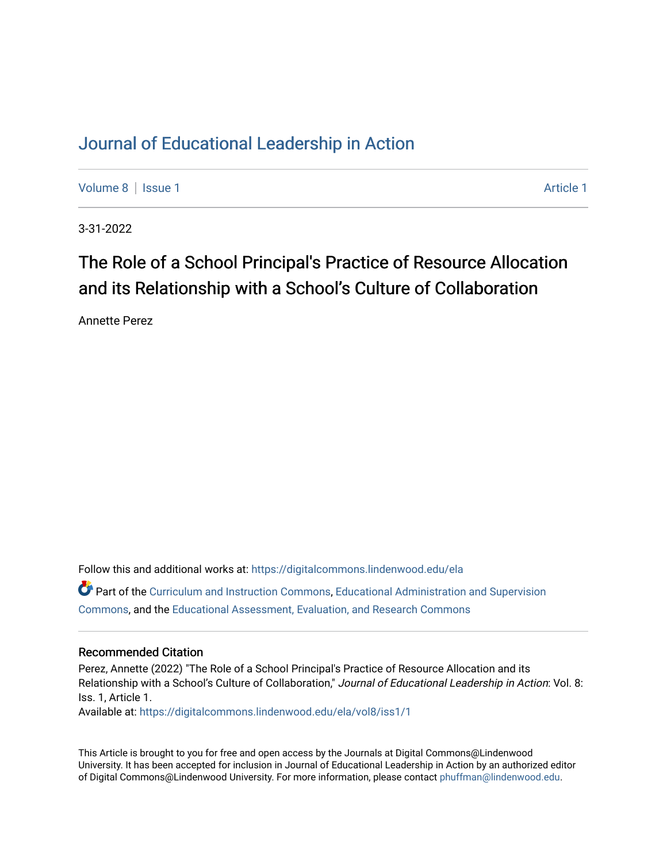# [Journal of Educational Leadership in Action](https://digitalcommons.lindenwood.edu/ela)

[Volume 8](https://digitalcommons.lindenwood.edu/ela/vol8) | [Issue 1](https://digitalcommons.lindenwood.edu/ela/vol8/iss1) Article 1

3-31-2022

# The Role of a School Principal's Practice of Resource Allocation and its Relationship with a School's Culture of Collaboration

Annette Perez

Follow this and additional works at: [https://digitalcommons.lindenwood.edu/ela](https://digitalcommons.lindenwood.edu/ela?utm_source=digitalcommons.lindenwood.edu%2Fela%2Fvol8%2Fiss1%2F1&utm_medium=PDF&utm_campaign=PDFCoverPages)  Part of the [Curriculum and Instruction Commons,](http://network.bepress.com/hgg/discipline/786?utm_source=digitalcommons.lindenwood.edu%2Fela%2Fvol8%2Fiss1%2F1&utm_medium=PDF&utm_campaign=PDFCoverPages) [Educational Administration and Supervision](http://network.bepress.com/hgg/discipline/787?utm_source=digitalcommons.lindenwood.edu%2Fela%2Fvol8%2Fiss1%2F1&utm_medium=PDF&utm_campaign=PDFCoverPages)  [Commons](http://network.bepress.com/hgg/discipline/787?utm_source=digitalcommons.lindenwood.edu%2Fela%2Fvol8%2Fiss1%2F1&utm_medium=PDF&utm_campaign=PDFCoverPages), and the [Educational Assessment, Evaluation, and Research Commons](http://network.bepress.com/hgg/discipline/796?utm_source=digitalcommons.lindenwood.edu%2Fela%2Fvol8%2Fiss1%2F1&utm_medium=PDF&utm_campaign=PDFCoverPages)

#### Recommended Citation

Perez, Annette (2022) "The Role of a School Principal's Practice of Resource Allocation and its Relationship with a School's Culture of Collaboration," Journal of Educational Leadership in Action: Vol. 8: Iss. 1, Article 1. Available at: [https://digitalcommons.lindenwood.edu/ela/vol8/iss1/1](https://digitalcommons.lindenwood.edu/ela/vol8/iss1/1?utm_source=digitalcommons.lindenwood.edu%2Fela%2Fvol8%2Fiss1%2F1&utm_medium=PDF&utm_campaign=PDFCoverPages) 

This Article is brought to you for free and open access by the Journals at Digital Commons@Lindenwood University. It has been accepted for inclusion in Journal of Educational Leadership in Action by an authorized editor of Digital Commons@Lindenwood University. For more information, please contact [phuffman@lindenwood.edu](mailto:phuffman@lindenwood.edu).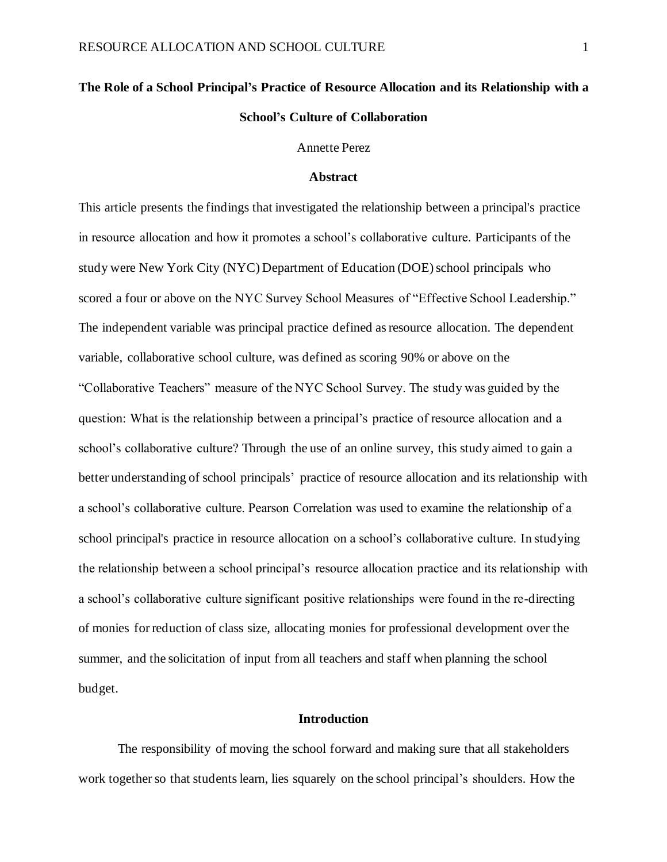# **The Role of a School Principal's Practice of Resource Allocation and its Relationship with a School's Culture of Collaboration**

Annette Perez

#### **Abstract**

This article presents the findings that investigated the relationship between a principal's practice in resource allocation and how it promotes a school's collaborative culture. Participants of the study were New York City (NYC) Department of Education (DOE) school principals who scored a four or above on the NYC Survey School Measures of "Effective School Leadership." The independent variable was principal practice defined as resource allocation. The dependent variable, collaborative school culture, was defined as scoring 90% or above on the "Collaborative Teachers" measure of the NYC School Survey. The study was guided by the question: What is the relationship between a principal's practice of resource allocation and a school's collaborative culture? Through the use of an online survey, this study aimed to gain a better understanding of school principals' practice of resource allocation and its relationship with a school's collaborative culture. Pearson Correlation was used to examine the relationship of a school principal's practice in resource allocation on a school's collaborative culture. In studying the relationship between a school principal's resource allocation practice and its relationship with a school's collaborative culture significant positive relationships were found in the re-directing of monies for reduction of class size, allocating monies for professional development over the summer, and the solicitation of input from all teachers and staff when planning the school budget.

# **Introduction**

The responsibility of moving the school forward and making sure that all stakeholders work together so that students learn, lies squarely on the school principal's shoulders. How the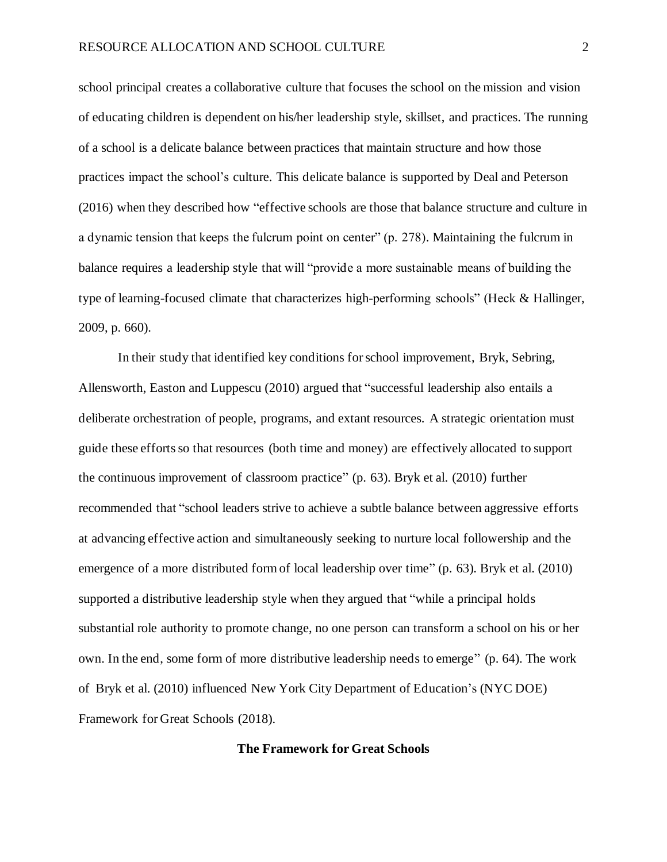school principal creates a collaborative culture that focuses the school on the mission and vision of educating children is dependent on his/her leadership style, skillset, and practices. The running of a school is a delicate balance between practices that maintain structure and how those practices impact the school's culture. This delicate balance is supported by Deal and Peterson (2016) when they described how "effective schools are those that balance structure and culture in a dynamic tension that keeps the fulcrum point on center" (p. 278). Maintaining the fulcrum in balance requires a leadership style that will "provide a more sustainable means of building the type of learning-focused climate that characterizes high-performing schools" (Heck & Hallinger, 2009, p. 660).

In their study that identified key conditions for school improvement, Bryk, Sebring, Allensworth, Easton and Luppescu (2010) argued that "successful leadership also entails a deliberate orchestration of people, programs, and extant resources. A strategic orientation must guide these efforts so that resources (both time and money) are effectively allocated to support the continuous improvement of classroom practice" (p. 63). Bryk et al. (2010) further recommended that "school leaders strive to achieve a subtle balance between aggressive efforts at advancing effective action and simultaneously seeking to nurture local followership and the emergence of a more distributed form of local leadership over time" (p. 63). Bryk et al. (2010) supported a distributive leadership style when they argued that "while a principal holds substantial role authority to promote change, no one person can transform a school on his or her own. In the end, some form of more distributive leadership needs to emerge" (p. 64). The work of Bryk et al. (2010) influenced New York City Department of Education's (NYC DOE) Framework for Great Schools (2018).

# **The Framework for Great Schools**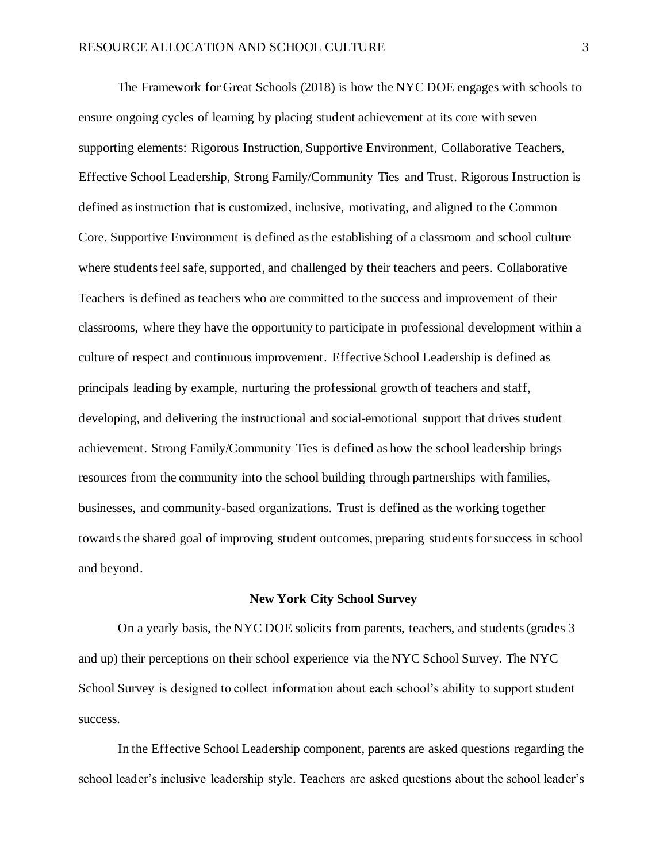The Framework for Great Schools (2018) is how the NYC DOE engages with schools to ensure ongoing cycles of learning by placing student achievement at its core with seven supporting elements: Rigorous Instruction, Supportive Environment, Collaborative Teachers, Effective School Leadership, Strong Family/Community Ties and Trust. Rigorous Instruction is defined as instruction that is customized, inclusive, motivating, and aligned to the Common Core. Supportive Environment is defined as the establishing of a classroom and school culture where students feel safe, supported, and challenged by their teachers and peers. Collaborative Teachers is defined as teachers who are committed to the success and improvement of their classrooms, where they have the opportunity to participate in professional development within a culture of respect and continuous improvement. Effective School Leadership is defined as principals leading by example, nurturing the professional growth of teachers and staff, developing, and delivering the instructional and social-emotional support that drives student achievement. Strong Family/Community Ties is defined as how the school leadership brings resources from the community into the school building through partnerships with families, businesses, and community-based organizations. Trust is defined as the working together towards the shared goal of improving student outcomes, preparing students for success in school and beyond.

#### **New York City School Survey**

On a yearly basis, the NYC DOE solicits from parents, teachers, and students (grades 3 and up) their perceptions on their school experience via the NYC School Survey. The NYC School Survey is designed to collect information about each school's ability to support student success.

In the Effective School Leadership component, parents are asked questions regarding the school leader's inclusive leadership style. Teachers are asked questions about the school leader's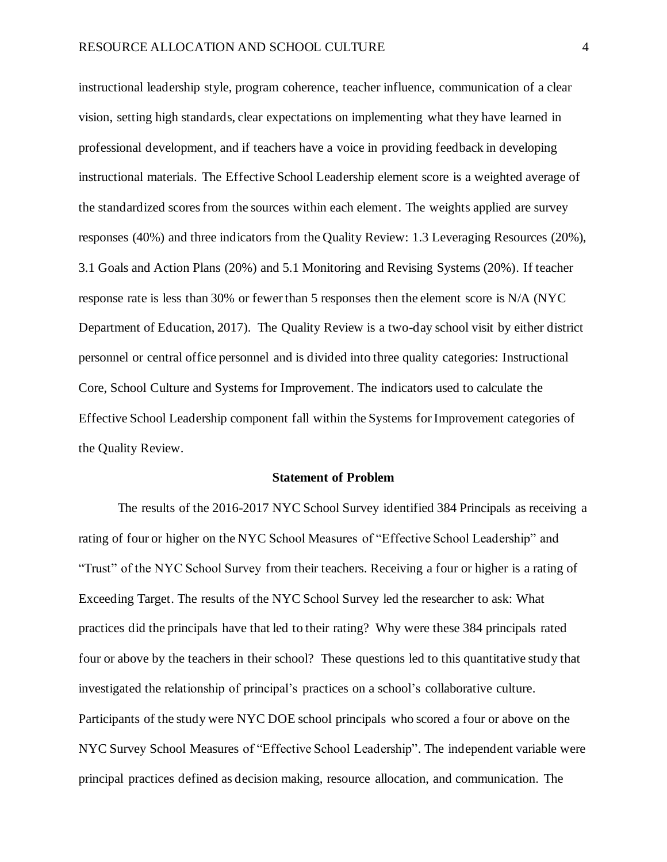instructional leadership style, program coherence, teacher influence, communication of a clear vision, setting high standards, clear expectations on implementing what they have learned in professional development, and if teachers have a voice in providing feedback in developing instructional materials. The Effective School Leadership element score is a weighted average of the standardized scores from the sources within each element. The weights applied are survey responses (40%) and three indicators from the Quality Review: 1.3 Leveraging Resources (20%), 3.1 Goals and Action Plans (20%) and 5.1 Monitoring and Revising Systems (20%). If teacher response rate is less than 30% or fewer than 5 responses then the element score is N/A (NYC Department of Education, 2017). The Quality Review is a two-day school visit by either district personnel or central office personnel and is divided into three quality categories: Instructional Core, School Culture and Systems for Improvement. The indicators used to calculate the Effective School Leadership component fall within the Systems for Improvement categories of the Quality Review.

#### **Statement of Problem**

The results of the 2016-2017 NYC School Survey identified 384 Principals as receiving a rating of four or higher on the NYC School Measures of "Effective School Leadership" and "Trust" of the NYC School Survey from their teachers. Receiving a four or higher is a rating of Exceeding Target. The results of the NYC School Survey led the researcher to ask: What practices did the principals have that led to their rating? Why were these 384 principals rated four or above by the teachers in their school? These questions led to this quantitative study that investigated the relationship of principal's practices on a school's collaborative culture. Participants of the study were NYC DOE school principals who scored a four or above on the NYC Survey School Measures of "Effective School Leadership". The independent variable were principal practices defined as decision making, resource allocation, and communication. The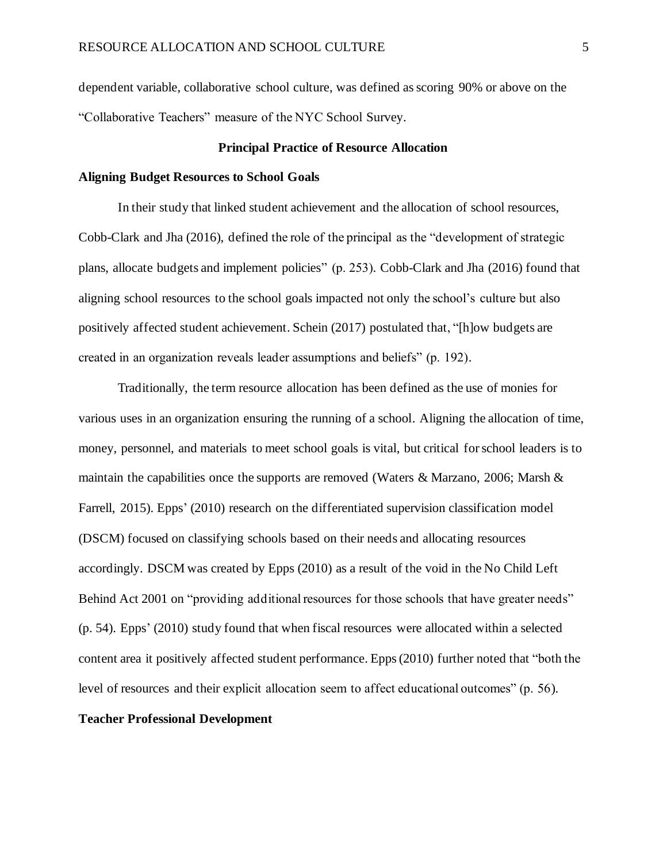dependent variable, collaborative school culture, was defined asscoring 90% or above on the "Collaborative Teachers" measure of the NYC School Survey.

#### **Principal Practice of Resource Allocation**

#### **Aligning Budget Resources to School Goals**

In their study that linked student achievement and the allocation of school resources, Cobb-Clark and Jha (2016), defined the role of the principal as the "development of strategic plans, allocate budgets and implement policies" (p. 253). Cobb-Clark and Jha (2016) found that aligning school resources to the school goals impacted not only the school's culture but also positively affected student achievement. Schein (2017) postulated that, "[h]ow budgets are created in an organization reveals leader assumptions and beliefs" (p. 192).

Traditionally, the term resource allocation has been defined as the use of monies for various uses in an organization ensuring the running of a school. Aligning the allocation of time, money, personnel, and materials to meet school goals is vital, but critical for school leaders is to maintain the capabilities once the supports are removed (Waters & Marzano, 2006; Marsh & Farrell, 2015). Epps' (2010) research on the differentiated supervision classification model (DSCM) focused on classifying schools based on their needs and allocating resources accordingly. DSCM was created by Epps (2010) as a result of the void in the No Child Left Behind Act 2001 on "providing additional resources for those schools that have greater needs" (p. 54). Epps' (2010) study found that when fiscal resources were allocated within a selected content area it positively affected student performance. Epps (2010) further noted that "both the level of resources and their explicit allocation seem to affect educational outcomes" (p. 56).

#### **Teacher Professional Development**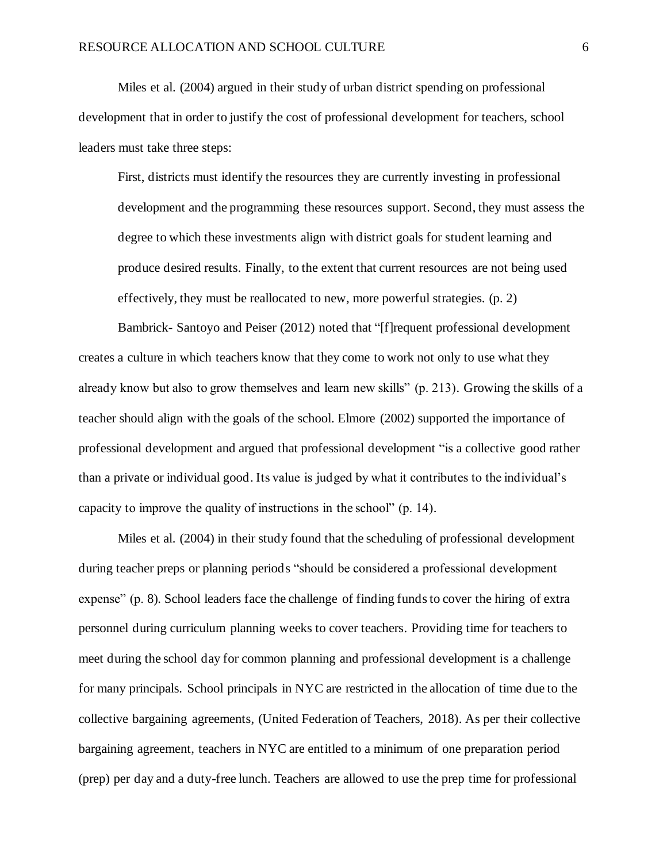Miles et al. (2004) argued in their study of urban district spending on professional development that in order to justify the cost of professional development for teachers, school leaders must take three steps:

First, districts must identify the resources they are currently investing in professional development and the programming these resources support. Second, they must assess the degree to which these investments align with district goals for student learning and produce desired results. Finally, to the extent that current resources are not being used effectively, they must be reallocated to new, more powerful strategies. (p. 2)

Bambrick- Santoyo and Peiser (2012) noted that "[f]requent professional development creates a culture in which teachers know that they come to work not only to use what they already know but also to grow themselves and learn new skills" (p. 213). Growing the skills of a teacher should align with the goals of the school. Elmore (2002) supported the importance of professional development and argued that professional development "is a collective good rather than a private or individual good. Its value is judged by what it contributes to the individual's capacity to improve the quality of instructions in the school" (p. 14).

Miles et al. (2004) in their study found that the scheduling of professional development during teacher preps or planning periods "should be considered a professional development expense" (p. 8). School leaders face the challenge of finding funds to cover the hiring of extra personnel during curriculum planning weeks to cover teachers. Providing time for teachers to meet during the school day for common planning and professional development is a challenge for many principals. School principals in NYC are restricted in the allocation of time due to the collective bargaining agreements, (United Federation of Teachers, 2018). As per their collective bargaining agreement, teachers in NYC are entitled to a minimum of one preparation period (prep) per day and a duty-free lunch. Teachers are allowed to use the prep time for professional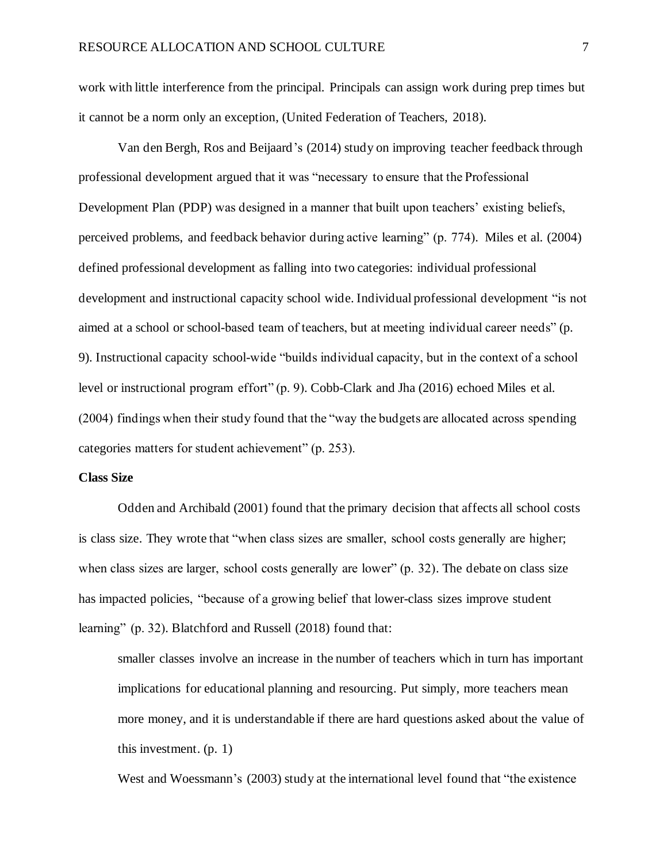work with little interference from the principal. Principals can assign work during prep times but it cannot be a norm only an exception, (United Federation of Teachers, 2018).

Van den Bergh, Ros and Beijaard's (2014) study on improving teacher feedback through professional development argued that it was "necessary to ensure that the Professional Development Plan (PDP) was designed in a manner that built upon teachers' existing beliefs, perceived problems, and feedback behavior during active learning" (p. 774). Miles et al. (2004) defined professional development as falling into two categories: individual professional development and instructional capacity school wide. Individual professional development "is not aimed at a school or school-based team of teachers, but at meeting individual career needs" (p. 9). Instructional capacity school-wide "builds individual capacity, but in the context of a school level or instructional program effort" (p. 9). Cobb-Clark and Jha (2016) echoed Miles et al. (2004) findings when their study found that the "way the budgets are allocated across spending categories matters for student achievement" (p. 253).

#### **Class Size**

Odden and Archibald (2001) found that the primary decision that affects all school costs is class size. They wrote that "when class sizes are smaller, school costs generally are higher; when class sizes are larger, school costs generally are lower" (p. 32). The debate on class size has impacted policies, "because of a growing belief that lower-class sizes improve student learning" (p. 32). Blatchford and Russell (2018) found that:

smaller classes involve an increase in the number of teachers which in turn has important implications for educational planning and resourcing. Put simply, more teachers mean more money, and it is understandable if there are hard questions asked about the value of this investment. (p. 1)

West and Woessmann's (2003) study at the international level found that "the existence"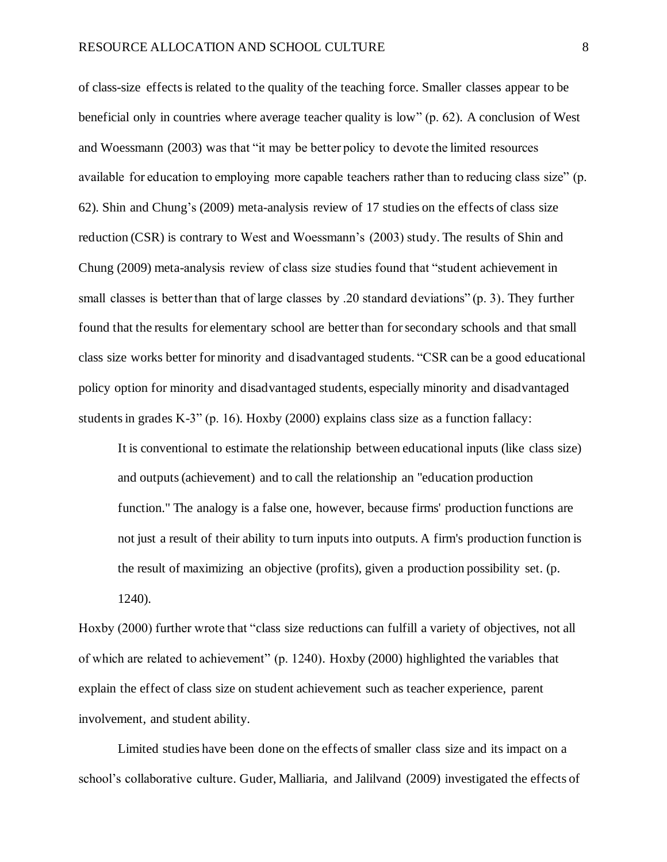of class-size effects is related to the quality of the teaching force. Smaller classes appear to be beneficial only in countries where average teacher quality is low" (p. 62). A conclusion of West and Woessmann (2003) was that "it may be better policy to devote the limited resources available for education to employing more capable teachers rather than to reducing class size" (p. 62). Shin and Chung's (2009) meta-analysis review of 17 studies on the effects of class size reduction (CSR) is contrary to West and Woessmann's (2003) study. The results of Shin and Chung (2009) meta-analysis review of class size studies found that "student achievement in small classes is better than that of large classes by .20 standard deviations" (p. 3). They further found that the results for elementary school are better than for secondary schools and that small class size works better for minority and disadvantaged students. "CSR can be a good educational policy option for minority and disadvantaged students, especially minority and disadvantaged students in grades K-3" (p. 16). Hoxby (2000) explains class size as a function fallacy:

It is conventional to estimate the relationship between educational inputs (like class size) and outputs (achievement) and to call the relationship an "education production function." The analogy is a false one, however, because firms' production functions are not just a result of their ability to turn inputs into outputs. A firm's production function is the result of maximizing an objective (profits), given a production possibility set. (p. 1240).

Hoxby (2000) further wrote that "class size reductions can fulfill a variety of objectives, not all of which are related to achievement" (p. 1240). Hoxby (2000) highlighted the variables that explain the effect of class size on student achievement such as teacher experience, parent involvement, and student ability.

Limited studies have been done on the effects of smaller class size and its impact on a school's collaborative culture. Guder, Malliaria, and Jalilvand (2009) investigated the effects of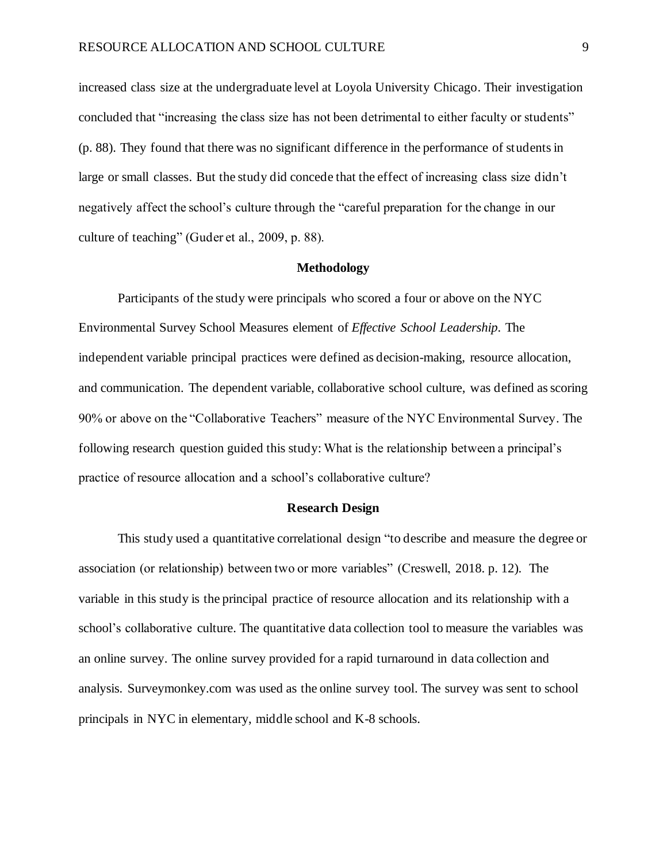increased class size at the undergraduate level at Loyola University Chicago. Their investigation concluded that "increasing the class size has not been detrimental to either faculty or students" (p. 88). They found that there was no significant difference in the performance of students in large or small classes. But the study did concede that the effect of increasing class size didn't negatively affect the school's culture through the "careful preparation for the change in our culture of teaching" (Guder et al., 2009, p. 88).

#### **Methodology**

Participants of the study were principals who scored a four or above on the NYC Environmental Survey School Measures element of *Effective School Leadership.* The independent variable principal practices were defined as decision-making, resource allocation, and communication. The dependent variable, collaborative school culture, was defined as scoring 90% or above on the "Collaborative Teachers" measure of the NYC Environmental Survey. The following research question guided this study: What is the relationship between a principal's practice of resource allocation and a school's collaborative culture?

#### **Research Design**

This study used a quantitative correlational design "to describe and measure the degree or association (or relationship) between two or more variables" (Creswell, 2018. p. 12). The variable in this study is the principal practice of resource allocation and its relationship with a school's collaborative culture. The quantitative data collection tool to measure the variables was an online survey. The online survey provided for a rapid turnaround in data collection and analysis. Surveymonkey.com was used as the online survey tool. The survey was sent to school principals in NYC in elementary, middle school and K-8 schools.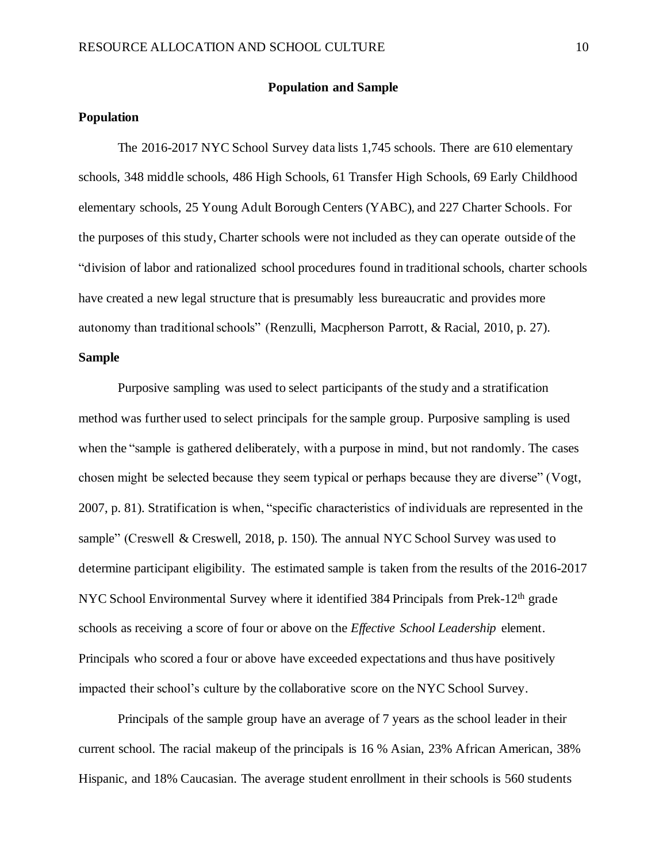#### **Population and Sample**

#### **Population**

The 2016-2017 NYC School Survey data lists 1,745 schools. There are 610 elementary schools, 348 middle schools, 486 High Schools, 61 Transfer High Schools, 69 Early Childhood elementary schools, 25 Young Adult Borough Centers (YABC), and 227 Charter Schools. For the purposes of this study, Charter schools were not included as they can operate outside of the "division of labor and rationalized school procedures found in traditional schools, charter schools have created a new legal structure that is presumably less bureaucratic and provides more autonomy than traditional schools" (Renzulli, Macpherson Parrott, & Racial, 2010, p. 27).

#### **Sample**

Purposive sampling was used to select participants of the study and a stratification method was further used to select principals for the sample group. Purposive sampling is used when the "sample is gathered deliberately, with a purpose in mind, but not randomly. The cases chosen might be selected because they seem typical or perhaps because they are diverse" (Vogt, 2007, p. 81). Stratification is when, "specific characteristics of individuals are represented in the sample" (Creswell & Creswell, 2018, p. 150). The annual NYC School Survey was used to determine participant eligibility. The estimated sample is taken from the results of the 2016-2017 NYC School Environmental Survey where it identified 384 Principals from Prek-12<sup>th</sup> grade schools as receiving a score of four or above on the *Effective School Leadership* element. Principals who scored a four or above have exceeded expectations and thus have positively impacted their school's culture by the collaborative score on the NYC School Survey.

Principals of the sample group have an average of 7 years as the school leader in their current school. The racial makeup of the principals is 16 % Asian, 23% African American, 38% Hispanic, and 18% Caucasian. The average student enrollment in their schools is 560 students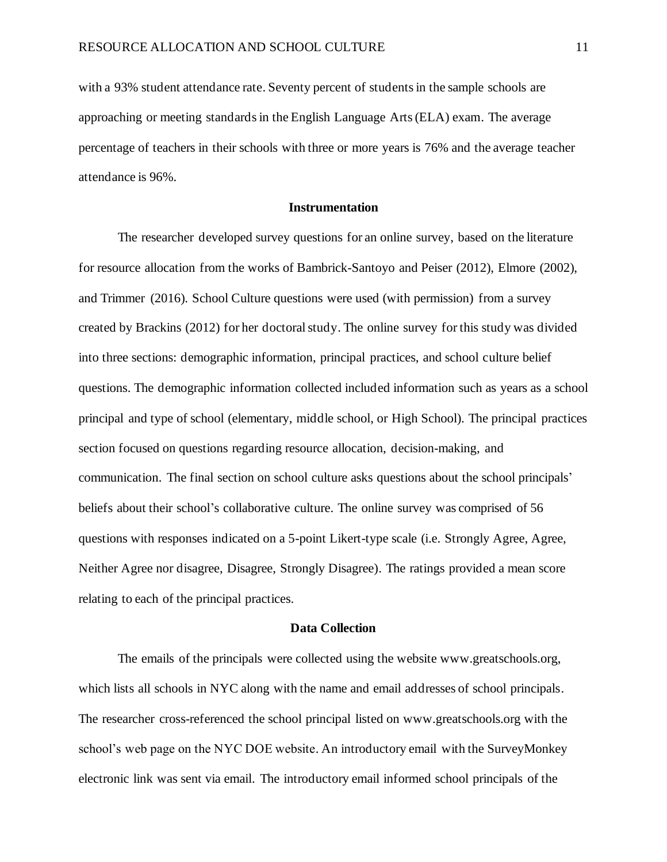with a 93% student attendance rate. Seventy percent of students in the sample schools are approaching or meeting standards in the English Language Arts (ELA) exam. The average percentage of teachers in their schools with three or more years is 76% and the average teacher attendance is 96%.

#### **Instrumentation**

The researcher developed survey questions for an online survey, based on the literature for resource allocation from the works of Bambrick-Santoyo and Peiser (2012), Elmore (2002), and Trimmer (2016). School Culture questions were used (with permission) from a survey created by Brackins (2012) for her doctoral study. The online survey for this study was divided into three sections: demographic information, principal practices, and school culture belief questions. The demographic information collected included information such as years as a school principal and type of school (elementary, middle school, or High School). The principal practices section focused on questions regarding resource allocation, decision-making, and communication. The final section on school culture asks questions about the school principals' beliefs about their school's collaborative culture. The online survey was comprised of 56 questions with responses indicated on a 5-point Likert-type scale (i.e. Strongly Agree, Agree, Neither Agree nor disagree, Disagree, Strongly Disagree). The ratings provided a mean score relating to each of the principal practices.

# **Data Collection**

The emails of the principals were collected using the website www.greatschools.org, which lists all schools in NYC along with the name and email addresses of school principals. The researcher cross-referenced the school principal listed on www.greatschools.org with the school's web page on the NYC DOE website. An introductory email with the SurveyMonkey electronic link was sent via email. The introductory email informed school principals of the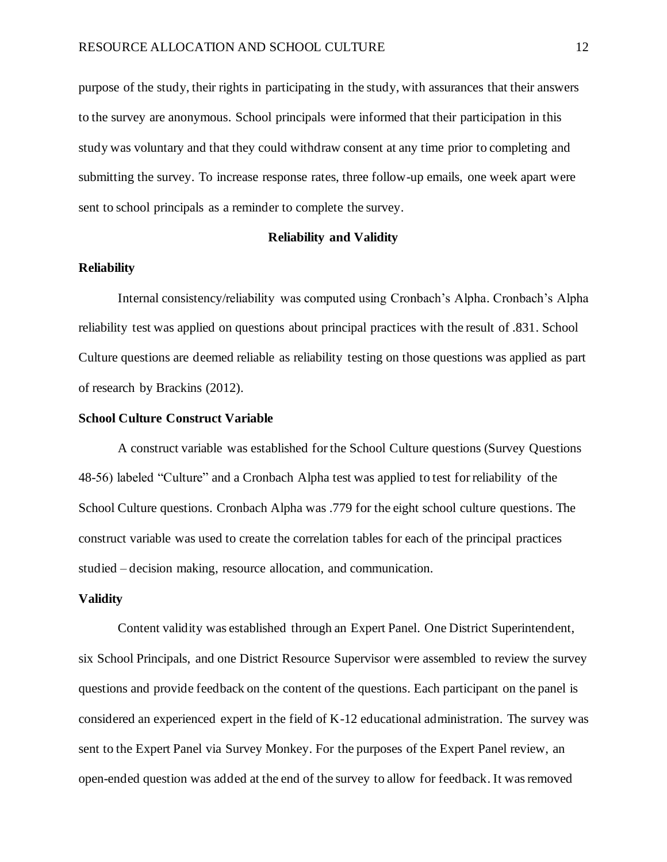purpose of the study, their rights in participating in the study, with assurances that their answers to the survey are anonymous. School principals were informed that their participation in this study was voluntary and that they could withdraw consent at any time prior to completing and submitting the survey. To increase response rates, three follow-up emails, one week apart were sent to school principals as a reminder to complete the survey.

#### **Reliability and Validity**

#### **Reliability**

Internal consistency/reliability was computed using Cronbach's Alpha. Cronbach's Alpha reliability test was applied on questions about principal practices with the result of .831. School Culture questions are deemed reliable as reliability testing on those questions was applied as part of research by Brackins (2012).

#### **School Culture Construct Variable**

A construct variable was established for the School Culture questions (Survey Questions 48-56) labeled "Culture" and a Cronbach Alpha test was applied to test for reliability of the School Culture questions. Cronbach Alpha was .779 for the eight school culture questions. The construct variable was used to create the correlation tables for each of the principal practices studied – decision making, resource allocation, and communication.

# **Validity**

Content validity was established through an Expert Panel. One District Superintendent, six School Principals, and one District Resource Supervisor were assembled to review the survey questions and provide feedback on the content of the questions. Each participant on the panel is considered an experienced expert in the field of K-12 educational administration. The survey was sent to the Expert Panel via Survey Monkey. For the purposes of the Expert Panel review, an open-ended question was added at the end of the survey to allow for feedback. It was removed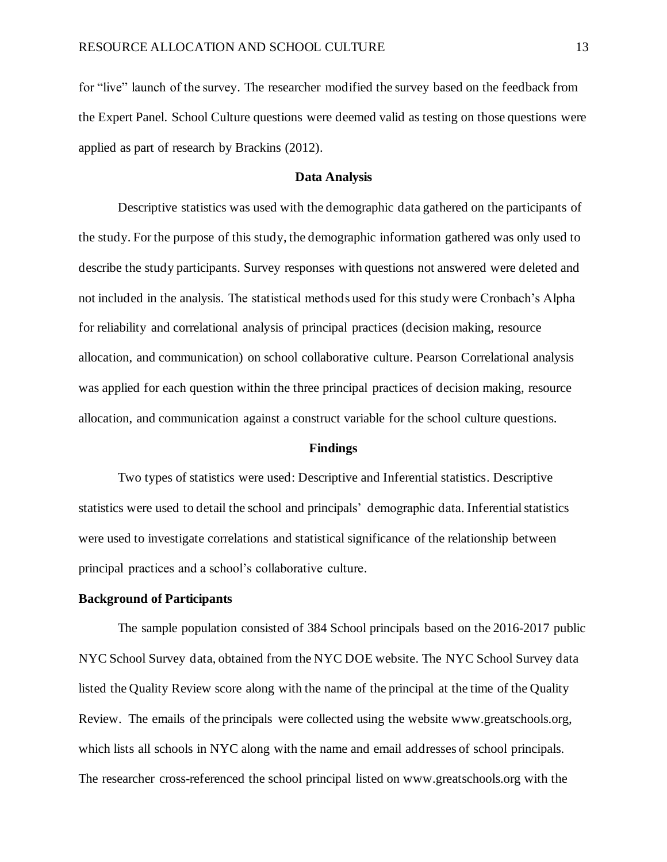for "live" launch of the survey. The researcher modified the survey based on the feedback from the Expert Panel. School Culture questions were deemed valid as testing on those questions were applied as part of research by Brackins (2012).

#### **Data Analysis**

Descriptive statistics was used with the demographic data gathered on the participants of the study. For the purpose of this study, the demographic information gathered was only used to describe the study participants. Survey responses with questions not answered were deleted and not included in the analysis. The statistical methods used for this study were Cronbach's Alpha for reliability and correlational analysis of principal practices (decision making, resource allocation, and communication) on school collaborative culture. Pearson Correlational analysis was applied for each question within the three principal practices of decision making, resource allocation, and communication against a construct variable for the school culture questions.

#### **Findings**

Two types of statistics were used: Descriptive and Inferential statistics. Descriptive statistics were used to detail the school and principals' demographic data. Inferential statistics were used to investigate correlations and statistical significance of the relationship between principal practices and a school's collaborative culture.

#### **Background of Participants**

The sample population consisted of 384 School principals based on the 2016-2017 public NYC School Survey data, obtained from the NYC DOE website. The NYC School Survey data listed the Quality Review score along with the name of the principal at the time of the Quality Review. The emails of the principals were collected using the website www.greatschools.org, which lists all schools in NYC along with the name and email addresses of school principals. The researcher cross-referenced the school principal listed on www.greatschools.org with the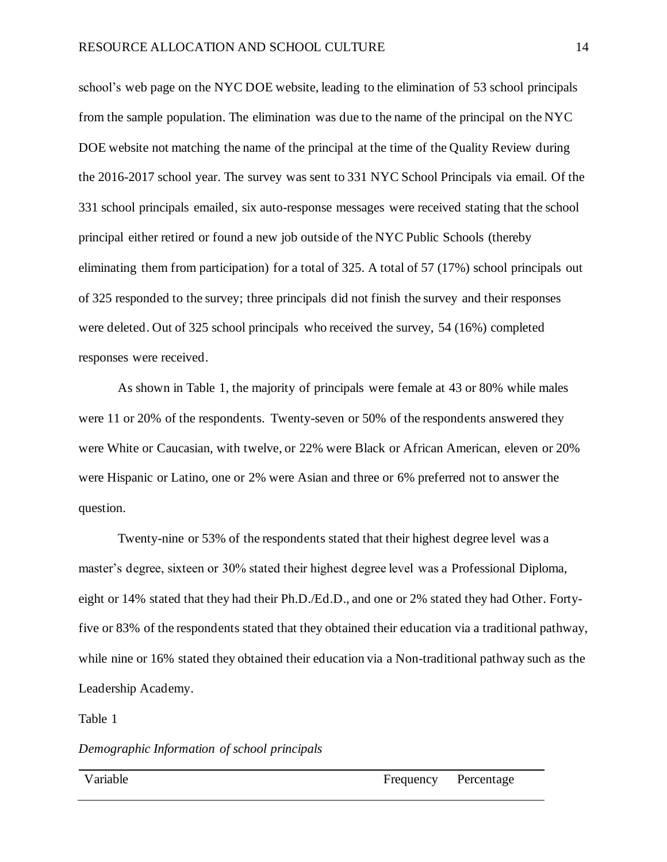school's web page on the NYC DOE website, leading to the elimination of 53 school principals from the sample population. The elimination was due to the name of the principal on the NYC DOE website not matching the name of the principal at the time of the Quality Review during the 2016-2017 school year. The survey was sent to 331 NYC School Principals via email. Of the 331 school principals emailed, six auto-response messages were received stating that the school principal either retired or found a new job outside of the NYC Public Schools (thereby eliminating them from participation) for a total of 325. A total of 57 (17%) school principals out of 325 responded to the survey; three principals did not finish the survey and their responses were deleted. Out of 325 school principals who received the survey, 54 (16%) completed responses were received.

As shown in Table 1, the majority of principals were female at 43 or 80% while males were 11 or 20% of the respondents. Twenty-seven or 50% of the respondents answered they were White or Caucasian, with twelve, or 22% were Black or African American, eleven or 20% were Hispanic or Latino, one or 2% were Asian and three or 6% preferred not to answer the question.

Twenty-nine or 53% of the respondents stated that their highest degree level was a master's degree, sixteen or 30% stated their highest degree level was a Professional Diploma, eight or 14% stated that they had their Ph.D./Ed.D., and one or 2% stated they had Other. Fortyfive or 83% of the respondents stated that they obtained their education via a traditional pathway, while nine or 16% stated they obtained their education via a Non-traditional pathway such as the Leadership Academy.

Table 1

#### *Demographic Information of school principals*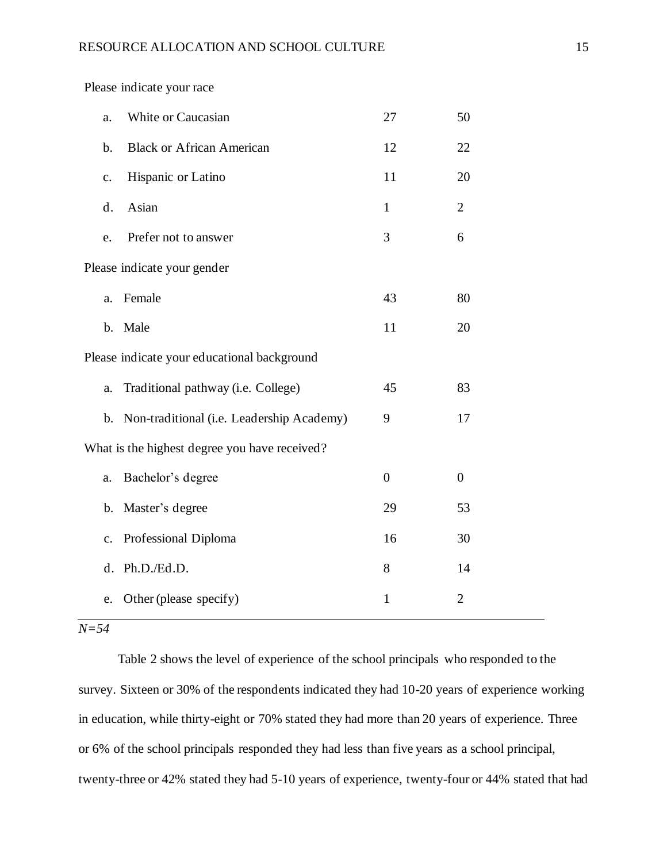Please indicate your race

| a.                                            | White or Caucasian                          | 27             | 50               |
|-----------------------------------------------|---------------------------------------------|----------------|------------------|
| b.                                            | <b>Black or African American</b>            | 12             | 22               |
| $\mathbf{c}$ .                                | Hispanic or Latino                          | 11             | 20               |
| d.                                            | Asian                                       | $\mathbf{1}$   | $\overline{2}$   |
| e.                                            | Prefer not to answer                        | 3              | 6                |
|                                               | Please indicate your gender                 |                |                  |
| a.                                            | Female                                      | 43             | 80               |
| $\mathbf b$ .                                 | Male                                        | 11             | 20               |
|                                               | Please indicate your educational background |                |                  |
| a.                                            | Traditional pathway (i.e. College)          | 45             | 83               |
| $\mathbf{b}$ .                                | Non-traditional (i.e. Leadership Academy)   | 9              | 17               |
| What is the highest degree you have received? |                                             |                |                  |
| a.                                            | Bachelor's degree                           | $\overline{0}$ | $\boldsymbol{0}$ |
| $\mathbf b$ .                                 | Master's degree                             | 29             | 53               |
| c.                                            | Professional Diploma                        | 16             | 30               |
| d.                                            | Ph.D./Ed.D.                                 | 8              | 14               |
| e.                                            | Other (please specify)                      | $\mathbf{1}$   | $\overline{2}$   |
|                                               |                                             |                |                  |

# *N=54*

Table 2 shows the level of experience of the school principals who responded to the survey. Sixteen or 30% of the respondents indicated they had 10-20 years of experience working in education, while thirty-eight or 70% stated they had more than 20 years of experience. Three or 6% of the school principals responded they had less than five years as a school principal, twenty-three or 42% stated they had 5-10 years of experience, twenty-four or 44% stated that had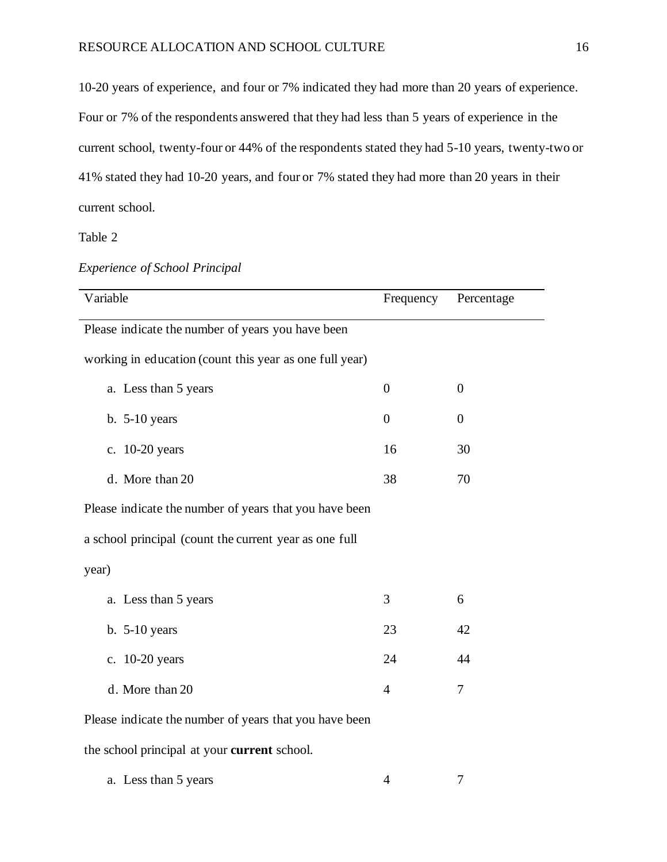10-20 years of experience, and four or 7% indicated they had more than 20 years of experience. Four or 7% of the respondents answered that they had less than 5 years of experience in the current school, twenty-four or 44% of the respondents stated they had 5-10 years, twenty-two or 41% stated they had 10-20 years, and four or 7% stated they had more than 20 years in their current school.

Table 2

| Variable                                                | Frequency        | Percentage     |  |  |
|---------------------------------------------------------|------------------|----------------|--|--|
| Please indicate the number of years you have been       |                  |                |  |  |
| working in education (count this year as one full year) |                  |                |  |  |
| a. Less than 5 years                                    | $\boldsymbol{0}$ | $\overline{0}$ |  |  |
| $b. 5-10$ years                                         | $\overline{0}$   | $\overline{0}$ |  |  |
| c. 10-20 years                                          | 16               | 30             |  |  |
| d. More than 20                                         | 38               | 70             |  |  |
| Please indicate the number of years that you have been  |                  |                |  |  |
| a school principal (count the current year as one full  |                  |                |  |  |
| year)                                                   |                  |                |  |  |
| a. Less than 5 years                                    | 3                | 6              |  |  |
| $b. 5-10$ years                                         | 23               | 42             |  |  |
| c. 10-20 years                                          | 24               | 44             |  |  |
| d. More than 20                                         | $\overline{4}$   | $\overline{7}$ |  |  |
| Please indicate the number of years that you have been  |                  |                |  |  |
| the school principal at your current school.            |                  |                |  |  |
| a. Less than 5 years                                    | 4                | 7              |  |  |

| <b>Experience of School Principal</b> |  |
|---------------------------------------|--|
|                                       |  |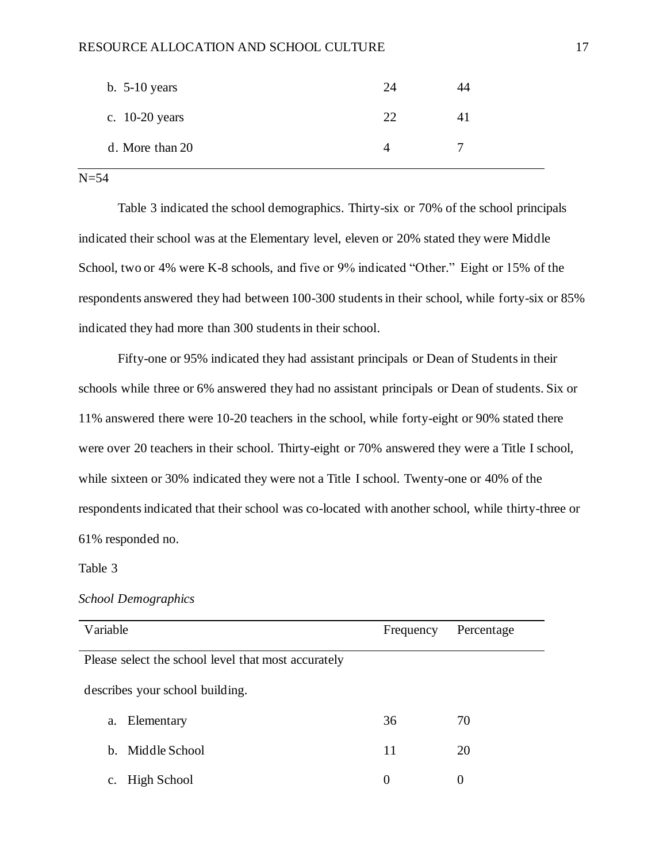#### RESOURCE ALLOCATION AND SCHOOL CULTURE 17

| b. $5-10$ years  | 24 | 14 |
|------------------|----|----|
| c. $10-20$ years | 22 |    |
| d. More than 20  | 4  |    |

# $N=54$

Table 3 indicated the school demographics. Thirty-six or 70% of the school principals indicated their school was at the Elementary level, eleven or 20% stated they were Middle School, two or 4% were K-8 schools, and five or 9% indicated "Other." Eight or 15% of the respondents answered they had between 100-300 students in their school, while forty-six or 85% indicated they had more than 300 students in their school.

Fifty-one or 95% indicated they had assistant principals or Dean of Students in their schools while three or 6% answered they had no assistant principals or Dean of students. Six or 11% answered there were 10-20 teachers in the school, while forty-eight or 90% stated there were over 20 teachers in their school. Thirty-eight or 70% answered they were a Title I school, while sixteen or 30% indicated they were not a Title I school. Twenty-one or 40% of the respondents indicated that their school was co-located with another school, while thirty-three or 61% responded no.

#### Table 3

# *School Demographics*

| Variable                                            | Frequency | Percentage |  |
|-----------------------------------------------------|-----------|------------|--|
| Please select the school level that most accurately |           |            |  |
| describes your school building.                     |           |            |  |
| Elementary<br>a.                                    | 36        | 70         |  |
| Middle School<br>$h_{\cdot}$                        | 11        | 20         |  |
| High School<br>c.                                   | 0         | 0          |  |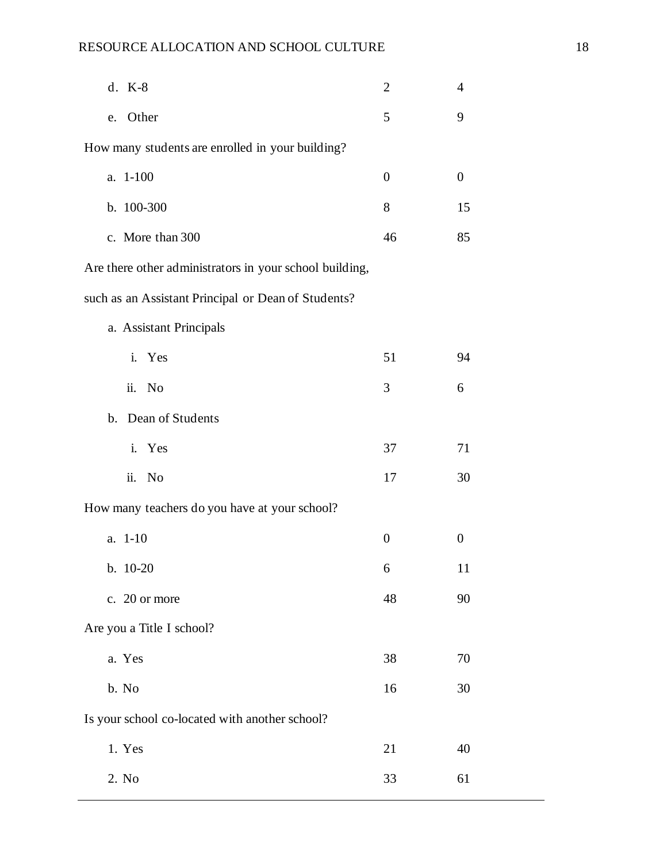| d. K-8                                                  | 2                | 4                |  |
|---------------------------------------------------------|------------------|------------------|--|
| Other<br>e.                                             | 5                | 9                |  |
| How many students are enrolled in your building?        |                  |                  |  |
| a. 1-100                                                | $\overline{0}$   | $\boldsymbol{0}$ |  |
| b. 100-300                                              | 8                | 15               |  |
| c. More than 300                                        | 46               | 85               |  |
| Are there other administrators in your school building, |                  |                  |  |
| such as an Assistant Principal or Dean of Students?     |                  |                  |  |
| a. Assistant Principals                                 |                  |                  |  |
| i. Yes                                                  | 51               | 94               |  |
| ii. No                                                  | 3                | 6                |  |
| b. Dean of Students                                     |                  |                  |  |
| i. Yes                                                  | 37               | 71               |  |
| ii. No                                                  | 17               | 30               |  |
| How many teachers do you have at your school?           |                  |                  |  |
| a. 1-10                                                 | $\boldsymbol{0}$ | $\overline{0}$   |  |
| $b. 10-20$                                              | 6                | 11               |  |
| c. 20 or more                                           | 48               | 90               |  |
| Are you a Title I school?                               |                  |                  |  |
| a. Yes                                                  | 38               | 70               |  |
| b. No                                                   | 16               | 30               |  |
| Is your school co-located with another school?          |                  |                  |  |
| 1. Yes                                                  | 21               | 40               |  |
| 2. No                                                   | 33               | 61               |  |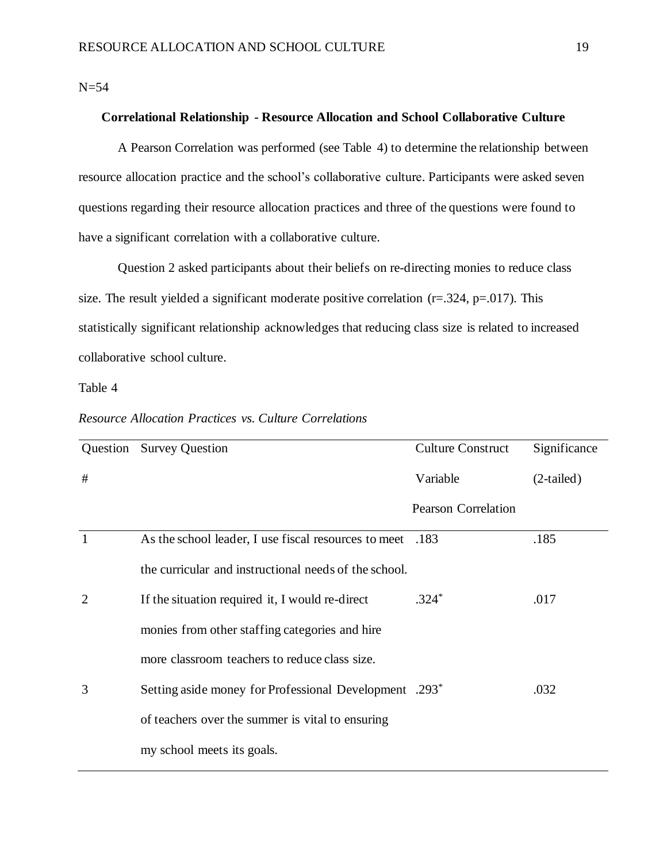$N=54$ 

# **Correlational Relationship - Resource Allocation and School Collaborative Culture**

A Pearson Correlation was performed (see Table 4) to determine the relationship between resource allocation practice and the school's collaborative culture. Participants were asked seven questions regarding their resource allocation practices and three of the questions were found to have a significant correlation with a collaborative culture.

Question 2 asked participants about their beliefs on re-directing monies to reduce class size. The result yielded a significant moderate positive correlation  $(r=.324, p=.017)$ . This statistically significant relationship acknowledges that reducing class size is related to increased collaborative school culture.

Table 4

*Resource Allocation Practices vs. Culture Correlations* 

|                | Question Survey Question                                           | <b>Culture Construct</b>   | Significance |
|----------------|--------------------------------------------------------------------|----------------------------|--------------|
| #              |                                                                    | Variable                   | $(2-tailed)$ |
|                |                                                                    | <b>Pearson Correlation</b> |              |
| -1             | As the school leader, I use fiscal resources to meet .183          |                            | .185         |
|                | the curricular and instructional needs of the school.              |                            |              |
| $\overline{2}$ | If the situation required it, I would re-direct                    | $.324*$                    | .017         |
|                | monies from other staffing categories and hire                     |                            |              |
|                | more classroom teachers to reduce class size.                      |                            |              |
| 3              | Setting aside money for Professional Development .293 <sup>*</sup> |                            | .032         |
|                | of teachers over the summer is vital to ensuring                   |                            |              |
|                | my school meets its goals.                                         |                            |              |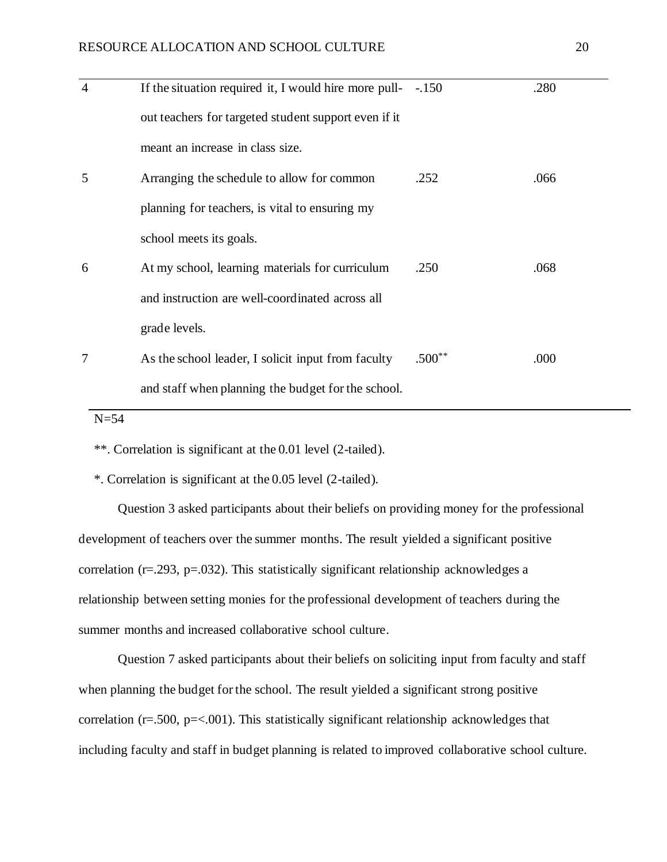| $\overline{4}$ | If the situation required it, I would hire more pull- $-.150$ |          | .280 |
|----------------|---------------------------------------------------------------|----------|------|
|                | out teachers for targeted student support even if it          |          |      |
|                | meant an increase in class size.                              |          |      |
| 5              | Arranging the schedule to allow for common                    | .252     | .066 |
|                | planning for teachers, is vital to ensuring my                |          |      |
|                | school meets its goals.                                       |          |      |
| 6              | At my school, learning materials for curriculum               | .250     | .068 |
|                | and instruction are well-coordinated across all               |          |      |
|                | grade levels.                                                 |          |      |
| 7              | As the school leader, I solicit input from faculty            | $.500**$ | .000 |
|                | and staff when planning the budget for the school.            |          |      |

N=54

\*\*. Correlation is significant at the 0.01 level (2-tailed).

\*. Correlation is significant at the 0.05 level (2-tailed).

Question 3 asked participants about their beliefs on providing money for the professional development of teachers over the summer months. The result yielded a significant positive correlation (r=.293, p=.032). This statistically significant relationship acknowledges a relationship between setting monies for the professional development of teachers during the summer months and increased collaborative school culture.

Question 7 asked participants about their beliefs on soliciting input from faculty and staff when planning the budget for the school. The result yielded a significant strong positive correlation ( $r = .500$ ,  $p = < .001$ ). This statistically significant relationship acknowledges that including faculty and staff in budget planning is related to improved collaborative school culture.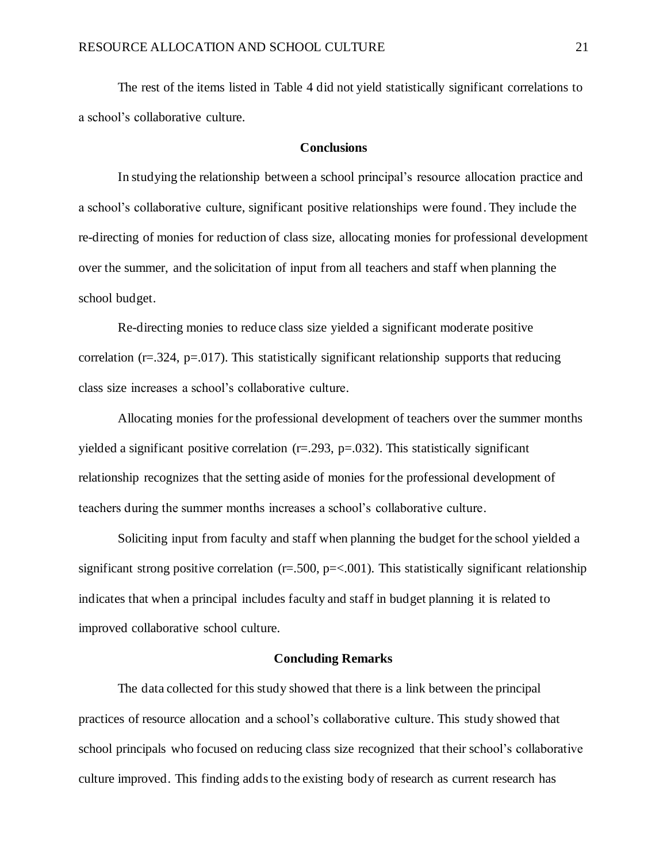The rest of the items listed in Table 4 did not yield statistically significant correlations to a school's collaborative culture.

#### **Conclusions**

In studying the relationship between a school principal's resource allocation practice and a school's collaborative culture, significant positive relationships were found. They include the re-directing of monies for reduction of class size, allocating monies for professional development over the summer, and the solicitation of input from all teachers and staff when planning the school budget.

Re-directing monies to reduce class size yielded a significant moderate positive correlation ( $r = .324$ ,  $p = .017$ ). This statistically significant relationship supports that reducing class size increases a school's collaborative culture.

Allocating monies for the professional development of teachers over the summer months yielded a significant positive correlation  $(r=.293, p=.032)$ . This statistically significant relationship recognizes that the setting aside of monies for the professional development of teachers during the summer months increases a school's collaborative culture.

Soliciting input from faculty and staff when planning the budget for the school yielded a significant strong positive correlation ( $r = .500$ ,  $p = < .001$ ). This statistically significant relationship indicates that when a principal includes faculty and staff in budget planning it is related to improved collaborative school culture.

#### **Concluding Remarks**

The data collected for this study showed that there is a link between the principal practices of resource allocation and a school's collaborative culture. This study showed that school principals who focused on reducing class size recognized that their school's collaborative culture improved. This finding addsto the existing body of research as current research has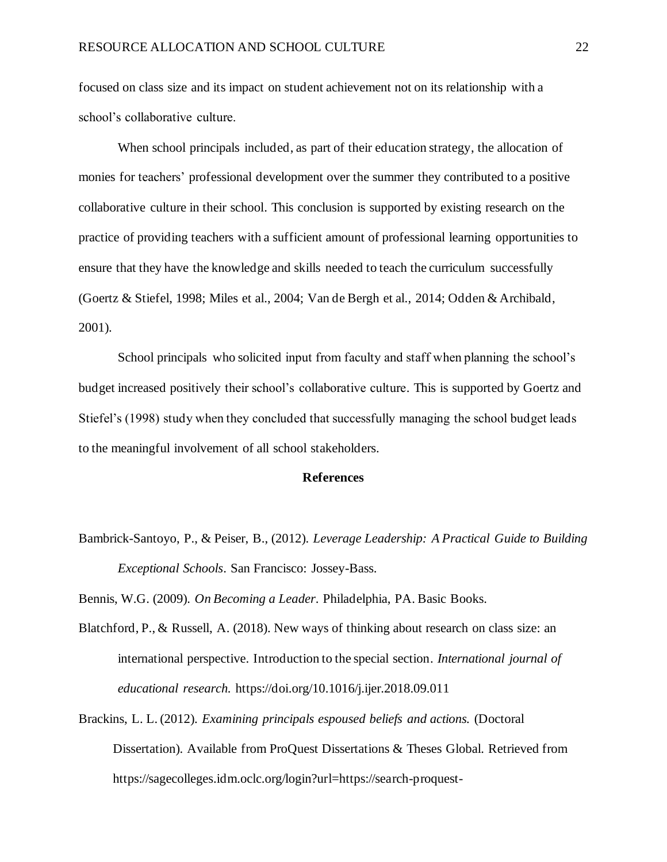focused on class size and its impact on student achievement not on its relationship with a school's collaborative culture.

When school principals included, as part of their education strategy, the allocation of monies for teachers' professional development over the summer they contributed to a positive collaborative culture in their school. This conclusion is supported by existing research on the practice of providing teachers with a sufficient amount of professional learning opportunities to ensure that they have the knowledge and skills needed to teach the curriculum successfully (Goertz & Stiefel, 1998; Miles et al., 2004; Van de Bergh et al., 2014; Odden & Archibald, 2001).

School principals who solicited input from faculty and staff when planning the school's budget increased positively their school's collaborative culture. This is supported by Goertz and Stiefel's (1998) study when they concluded that successfully managing the school budget leads to the meaningful involvement of all school stakeholders.

#### **References**

Bambrick-Santoyo, P., & Peiser, B., (2012). *Leverage Leadership: A Practical Guide to Building Exceptional Schools*. San Francisco: Jossey-Bass.

Bennis, W.G. (2009). *On Becoming a Leader*. Philadelphia, PA. Basic Books.

- Blatchford, P., & Russell, A. (2018). New ways of thinking about research on class size: an international perspective. Introduction to the special section. *International journal of educational research.* https://doi.org/10.1016/j.ijer.2018.09.011
- Brackins, L. L. (2012). *Examining principals espoused beliefs and actions.* (Doctoral Dissertation). Available from ProQuest Dissertations & Theses Global. Retrieved from [https://sagecolleges.i](https://sagecolleges/)dm.oclc.org/login?url=https://search-proquest-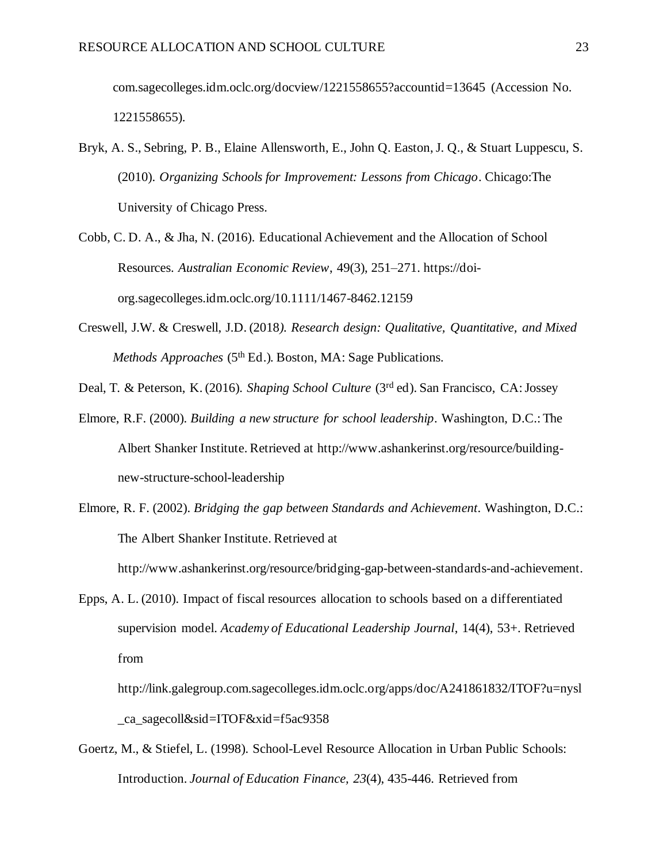com.sagecolleges.idm.oclc.org/docview/1221558655?accountid=13645 (Accession No. 1221558655).

- Bryk, A. S., Sebring, P. B., Elaine Allensworth, E., John Q. Easton, J. Q., & Stuart Luppescu, S. (2010). *Organizing Schools for Improvement: Lessons from Chicago*. Chicago:The University of Chicago Press.
- Cobb, C. D. A., & Jha, N. (2016). Educational Achievement and the Allocation of School Resources. *Australian Economic Review*, 49(3), 251–271. https://doiorg.sagecolleges.idm.oclc.org/10.1111/1467-8462.12159
- Creswell, J.W. & Creswell, J.D. (2018*). Research design: Qualitative, Quantitative, and Mixed Methods Approaches* (5<sup>th</sup> Ed.). Boston, MA: Sage Publications.

Deal, T. & Peterson, K. (2016). *Shaping School Culture* (3rd ed). San Francisco, CA: Jossey

- Elmore, R.F. (2000). *Building a new structure for school leadership*. Washington, D.C.: The Albert Shanker Institute. Retrieved at [http://www.](http://www/)ashankerinst.org/resource/buildingnew-structure-school-leadership
- Elmore, R. F. (2002). *Bridging the gap between Standards and Achievement*. Washington, D.C.: The Albert Shanker Institute. Retrieved at

[http://www.](http://www/)ashankerinst.org/resource/bridging-gap-between-standards-and-achievement.

Epps, A. L. (2010). Impact of fiscal resources allocation to schools based on a differentiated supervision model. *Academy of Educational Leadership Journal*, 14(4), 53+. Retrieved from

http://link.galegroup.com.sagecolleges.idm.oclc.org/apps/doc/A241861832/ITOF?u=nysl \_ca\_sagecoll&sid=ITOF&xid=f5ac9358

Goertz, M., & Stiefel, L. (1998). School-Level Resource Allocation in Urban Public Schools: Introduction. *Journal of Education Finance, 23*(4), 435-446. Retrieved from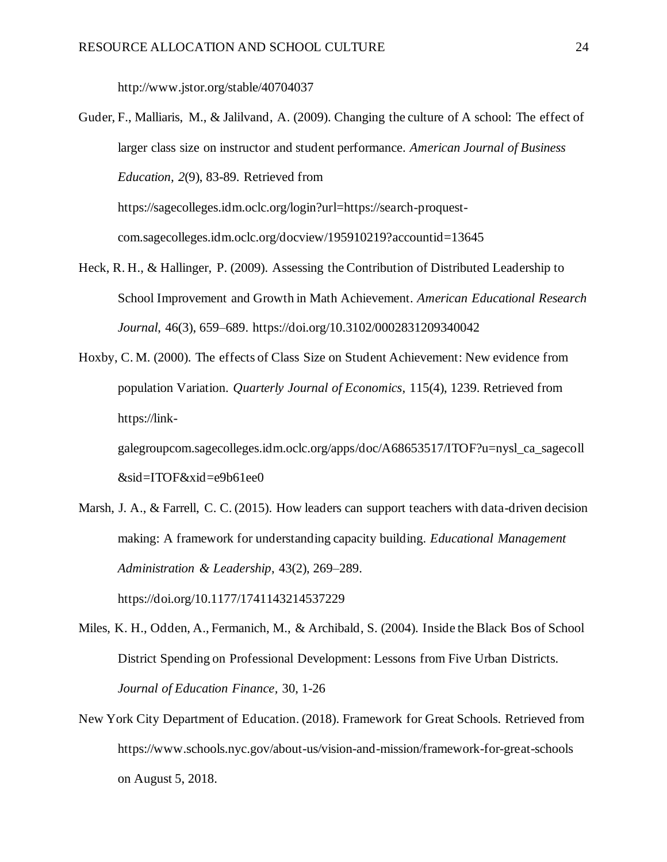http://www.jstor.org/stable/40704037

Guder, F., Malliaris, M., & Jalilvand, A. (2009). Changing the culture of A school: The effect of larger class size on instructor and student performance. *American Journal of Business Education, 2*(9), 83-89. Retrieved from https://sagecolleges.idm.oclc.org/login?url=https://search-proquestcom.sagecolleges.idm.oclc.org/docview/195910219?accountid=13645

- Heck, R. H., & Hallinger, P. (2009). Assessing the Contribution of Distributed Leadership to School Improvement and Growth in Math Achievement. *American Educational Research Journal*, 46(3), 659–689. https://doi.org/10.3102/0002831209340042
- Hoxby, C. M. (2000). The effects of Class Size on Student Achievement: New evidence from population Variation. *Quarterly Journal of Economics*, 115(4), 1239. Retrieved from https://link-

galegroupcom.sagecolleges.idm.oclc.org/apps/doc/A68653517/ITOF?u=nysl\_ca\_sagecoll &sid=ITOF&xid=e9b61ee0

Marsh, J. A., & Farrell, C. C. (2015). How leaders can support teachers with data-driven decision making: A framework for understanding capacity building. *Educational Management Administration & Leadership*, 43(2), 269–289.

https://doi.org/10.1177/1741143214537229

- Miles, K. H., Odden, A., Fermanich, M., & Archibald, S. (2004). Inside the Black Bos of School District Spending on Professional Development: Lessons from Five Urban Districts. *Journal of Education Finance,* 30, 1-26
- New York City Department of Education. (2018). Framework for Great Schools. Retrieved from https://www.schools.nyc.gov/about-us/vision-and-mission/framework-for-great-schools on August 5, 2018.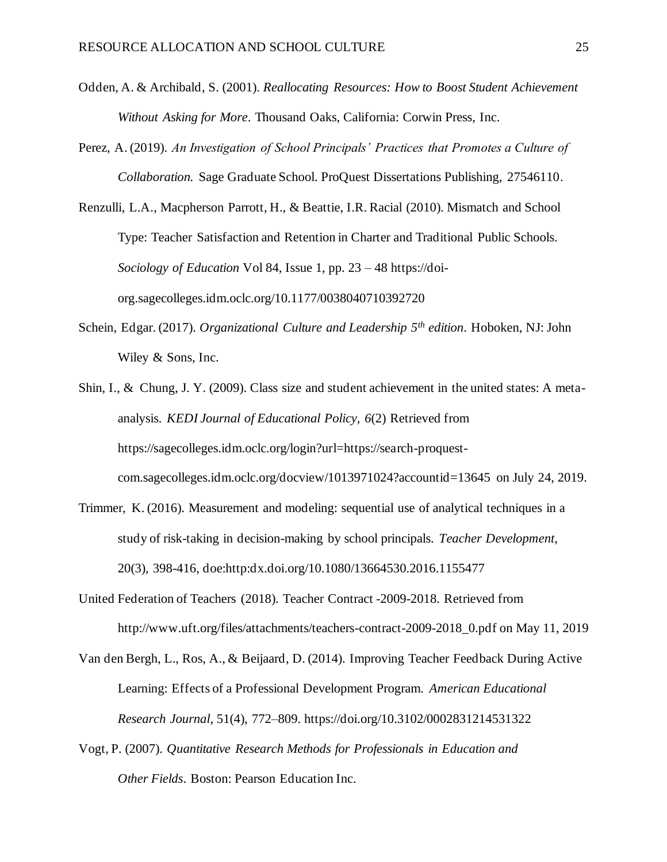- Odden, A. & Archibald, S. (2001). *Reallocating Resources: How to Boost Student Achievement Without Asking for More*. Thousand Oaks, California: Corwin Press, Inc.
- Perez, A. (2019). *An Investigation of School Principals' Practices that Promotes a Culture of Collaboration.* Sage Graduate School. ProQuest Dissertations Publishing, 27546110.
- Renzulli, L.A., Macpherson Parrott, H., & Beattie, I.R. Racial (2010). Mismatch and School Type: Teacher Satisfaction and Retention in Charter and Traditional Public Schools. *Sociology of Education* Vol 84, Issue 1, pp. 23 – 48 [https://doi](https://doi/)org.sagecolleges.idm.oclc.org/10.1177/0038040710392720
- Schein, Edgar. (2017). *Organizational Culture and Leadership 5th edition*. Hoboken, NJ: John Wiley & Sons, Inc.
- Shin, I., & Chung, J. Y. (2009). Class size and student achievement in the united states: A metaanalysis. *KEDI Journal of Educational Policy, 6*(2) Retrieved from https://sagecolleges.idm.oclc.org/login?url=https://search-proquestcom.sagecolleges.idm.oclc.org/docview/1013971024?accountid=13645 on July 24, 2019.
- Trimmer, K. (2016). Measurement and modeling: sequential use of analytical techniques in a study of risk-taking in decision-making by school principals. *Teacher Development*, 20(3), 398-416, doe:http:dx.doi.org/10.1080/13664530.2016.1155477
- United Federation of Teachers (2018). Teacher Contract -2009-2018. Retrieved from http://www.uft.org/files/attachments/teachers-contract-2009-2018\_0.pdf on May 11, 2019
- Van den Bergh, L., Ros, A., & Beijaard, D. (2014). Improving Teacher Feedback During Active Learning: Effects of a Professional Development Program. *American Educational Research Journal*, 51(4), 772–809. https://doi.org/10.3102/0002831214531322
- Vogt, P. (2007). *Quantitative Research Methods for Professionals in Education and Other Fields*. Boston: Pearson Education Inc.